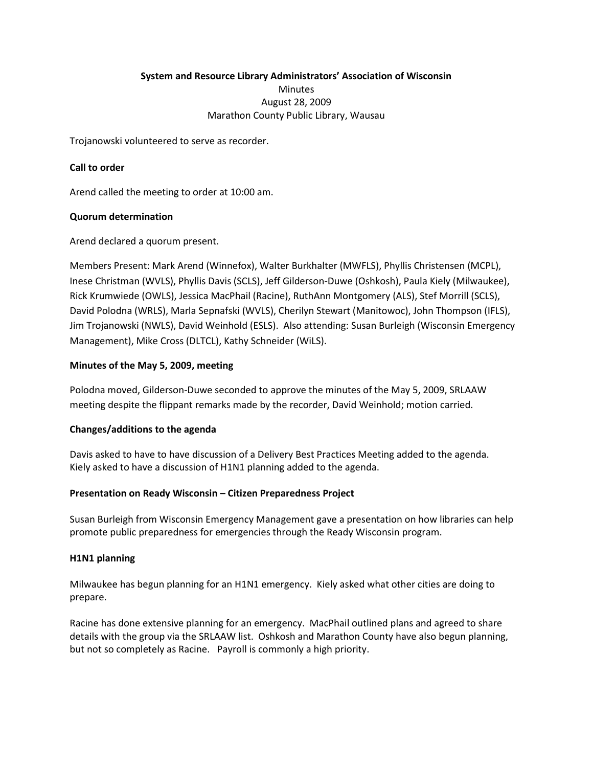# **System and Resource Library Administrators' Association of Wisconsin Minutes** August 28, 2009 Marathon County Public Library, Wausau

Trojanowski volunteered to serve as recorder.

## **Call to order**

Arend called the meeting to order at 10:00 am.

### **Quorum determination**

Arend declared a quorum present.

Members Present: Mark Arend (Winnefox), Walter Burkhalter (MWFLS), Phyllis Christensen (MCPL), Inese Christman (WVLS), Phyllis Davis (SCLS), Jeff Gilderson-Duwe (Oshkosh), Paula Kiely (Milwaukee), Rick Krumwiede (OWLS), Jessica MacPhail (Racine), RuthAnn Montgomery (ALS), Stef Morrill (SCLS), David Polodna (WRLS), Marla Sepnafski (WVLS), Cherilyn Stewart (Manitowoc), John Thompson (IFLS), Jim Trojanowski (NWLS), David Weinhold (ESLS). Also attending: Susan Burleigh (Wisconsin Emergency Management), Mike Cross (DLTCL), Kathy Schneider (WiLS).

### **Minutes of the May 5, 2009, meeting**

Polodna moved, Gilderson-Duwe seconded to approve the minutes of the May 5, 2009, SRLAAW meeting despite the flippant remarks made by the recorder, David Weinhold; motion carried.

### **Changes/additions to the agenda**

Davis asked to have to have discussion of a Delivery Best Practices Meeting added to the agenda. Kiely asked to have a discussion of H1N1 planning added to the agenda.

### **Presentation on Ready Wisconsin – Citizen Preparedness Project**

Susan Burleigh from Wisconsin Emergency Management gave a presentation on how libraries can help promote public preparedness for emergencies through the Ready Wisconsin program.

### **H1N1 planning**

Milwaukee has begun planning for an H1N1 emergency. Kiely asked what other cities are doing to prepare.

Racine has done extensive planning for an emergency. MacPhail outlined plans and agreed to share details with the group via the SRLAAW list. Oshkosh and Marathon County have also begun planning, but not so completely as Racine. Payroll is commonly a high priority.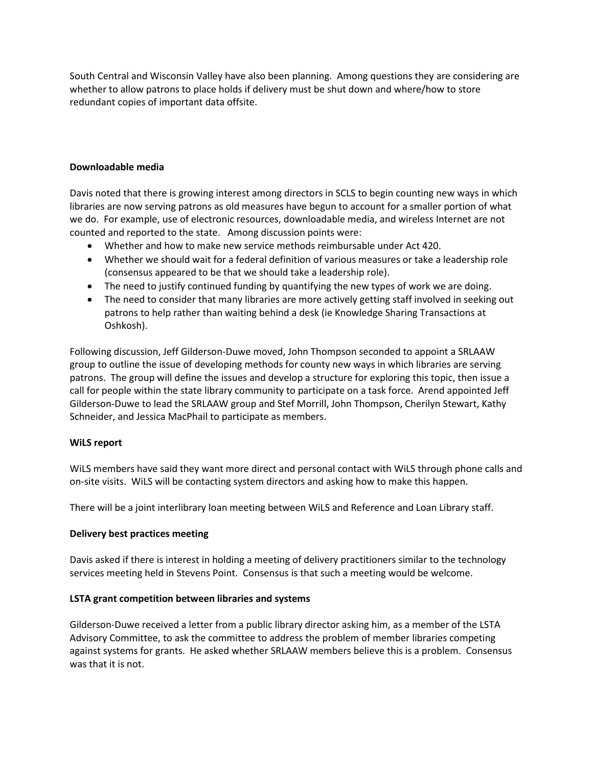South Central and Wisconsin Valley have also been planning. Among questions they are considering are whether to allow patrons to place holds if delivery must be shut down and where/how to store redundant copies of important data offsite.

### **Downloadable media**

Davis noted that there is growing interest among directors in SCLS to begin counting new ways in which libraries are now serving patrons as old measures have begun to account for a smaller portion of what we do. For example, use of electronic resources, downloadable media, and wireless Internet are not counted and reported to the state. Among discussion points were:

- Whether and how to make new service methods reimbursable under Act 420.
- Whether we should wait for a federal definition of various measures or take a leadership role (consensus appeared to be that we should take a leadership role).
- The need to justify continued funding by quantifying the new types of work we are doing.
- The need to consider that many libraries are more actively getting staff involved in seeking out patrons to help rather than waiting behind a desk (ie Knowledge Sharing Transactions at Oshkosh).

Following discussion, Jeff Gilderson-Duwe moved, John Thompson seconded to appoint a SRLAAW group to outline the issue of developing methods for county new ways in which libraries are serving patrons. The group will define the issues and develop a structure for exploring this topic, then issue a call for people within the state library community to participate on a task force. Arend appointed Jeff Gilderson-Duwe to lead the SRLAAW group and Stef Morrill, John Thompson, Cherilyn Stewart, Kathy Schneider, and Jessica MacPhail to participate as members.

### **WiLS report**

WiLS members have said they want more direct and personal contact with WiLS through phone calls and on-site visits. WiLS will be contacting system directors and asking how to make this happen.

There will be a joint interlibrary loan meeting between WiLS and Reference and Loan Library staff.

#### **Delivery best practices meeting**

Davis asked if there is interest in holding a meeting of delivery practitioners similar to the technology services meeting held in Stevens Point. Consensus is that such a meeting would be welcome.

#### **LSTA grant competition between libraries and systems**

Gilderson-Duwe received a letter from a public library director asking him, as a member of the LSTA Advisory Committee, to ask the committee to address the problem of member libraries competing against systems for grants. He asked whether SRLAAW members believe this is a problem. Consensus was that it is not.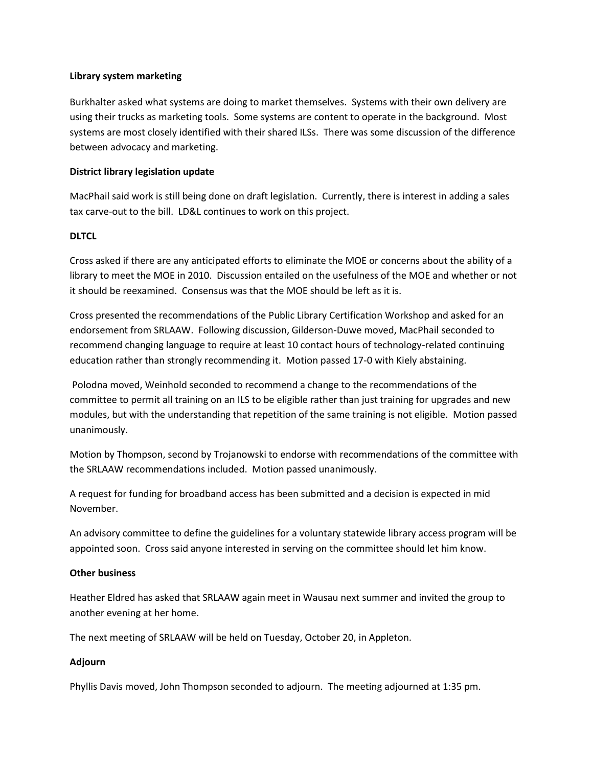#### **Library system marketing**

Burkhalter asked what systems are doing to market themselves. Systems with their own delivery are using their trucks as marketing tools. Some systems are content to operate in the background. Most systems are most closely identified with their shared ILSs. There was some discussion of the difference between advocacy and marketing.

### **District library legislation update**

MacPhail said work is still being done on draft legislation. Currently, there is interest in adding a sales tax carve-out to the bill. LD&L continues to work on this project.

### **DLTCL**

Cross asked if there are any anticipated efforts to eliminate the MOE or concerns about the ability of a library to meet the MOE in 2010. Discussion entailed on the usefulness of the MOE and whether or not it should be reexamined. Consensus was that the MOE should be left as it is.

Cross presented the recommendations of the Public Library Certification Workshop and asked for an endorsement from SRLAAW. Following discussion, Gilderson-Duwe moved, MacPhail seconded to recommend changing language to require at least 10 contact hours of technology-related continuing education rather than strongly recommending it. Motion passed 17-0 with Kiely abstaining.

Polodna moved, Weinhold seconded to recommend a change to the recommendations of the committee to permit all training on an ILS to be eligible rather than just training for upgrades and new modules, but with the understanding that repetition of the same training is not eligible. Motion passed unanimously.

Motion by Thompson, second by Trojanowski to endorse with recommendations of the committee with the SRLAAW recommendations included. Motion passed unanimously.

A request for funding for broadband access has been submitted and a decision is expected in mid November.

An advisory committee to define the guidelines for a voluntary statewide library access program will be appointed soon. Cross said anyone interested in serving on the committee should let him know.

### **Other business**

Heather Eldred has asked that SRLAAW again meet in Wausau next summer and invited the group to another evening at her home.

The next meeting of SRLAAW will be held on Tuesday, October 20, in Appleton.

### **Adjourn**

Phyllis Davis moved, John Thompson seconded to adjourn. The meeting adjourned at 1:35 pm.